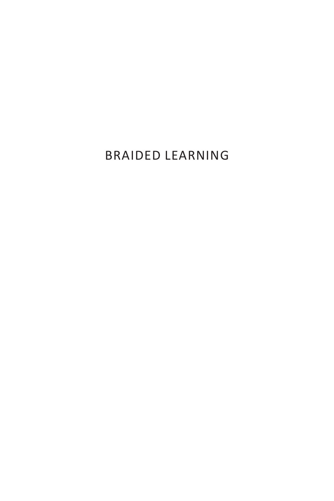# BRAIDED LEARNING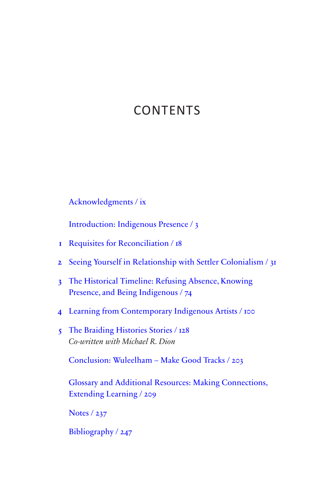# <span id="page-1-0"></span>**CONTENTS**

Acknowledgments / ix

[Introduction: Indigenous Presence / 3](#page-3-0) 

- 1 [Requisites for Reconciliation / 18](#page-18-0)
- 2 Seeing Yourself in Relationship with Settler Colonialism / 31
- 3 The Historical Timeline: Refusing Absence, Knowing Presence, and Being Indigenous / 74
- 4 Learning from Contemporary Indigenous Artists / 100
- 5 The Braiding Histories Stories / 128 *Co-written with Michael R. Dion*

Conclusion: Wuleelham – Make Good Tracks / 203

Glossary and Additional Resources: Making Connections, Extending Learning / 209

Notes / 237

Bibliography / 247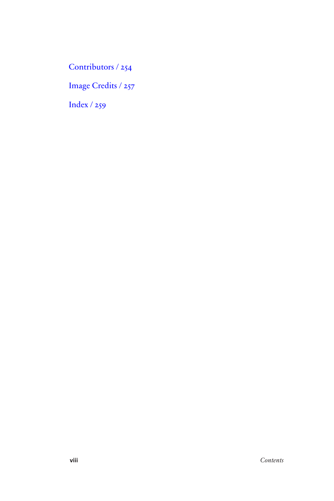Contributors / 254

Image Credits / 257

Index / 259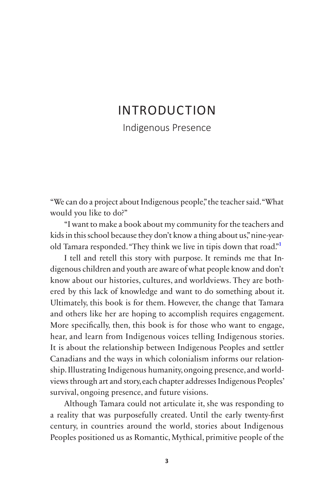# <span id="page-3-0"></span>[INTRODUCTION](#page-1-0)

Indigenous Presence

 "We can do a project about Indigenous people," the teacher said."What would you like to do?"

"I want to make a book about my community for the teachers and kids in this school because they don't know a thing about us," nine-yearold Tamara responded. "They think we live in tipis down that road."<sup>1</sup>

I tell and retell this story with purpose. It reminds me that Indigenous children and youth are aware of what people know and don't know about our histories, cultures, and worldviews. They are bothered by this lack of knowledge and want to do something about it. Ultimately, this book is for them. However, the change that Tamara and others like her are hoping to accomplish requires engagement. More specifcally, then, this book is for those who want to engage, hear, and learn from Indigenous voices telling Indigenous stories. It is about the relationship between Indigenous Peoples and settler Canadians and the ways in which colonialism informs our relationship. Illustrating Indigenous humanity, ongoing presence, and worldviews through art and story, each chapter addresses Indigenous Peoples' survival, ongoing presence, and future visions.

 century, in countries around the world, stories about Indigenous Although Tamara could not articulate it, she was responding to a reality that was purposefully created. Until the early twenty-frst Peoples positioned us as Romantic, Mythical, primitive people of the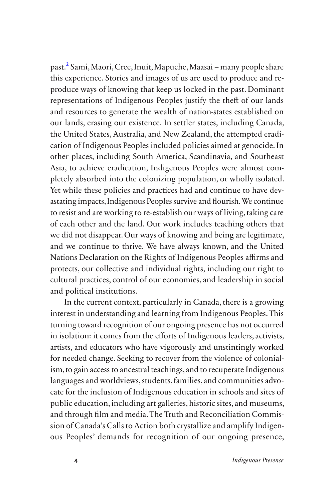and we continue to thrive. We have always known, and the United Nations Declaration on the Rights of Indigenous Peoples affirms and past.2 Sami, Maori, Cree, Inuit, Mapuche, Maasai – many people share this experience. Stories and images of us are used to produce and reproduce ways of knowing that keep us locked in the past. Dominant representations of Indigenous Peoples justify the theft of our lands and resources to generate the wealth of nation-states established on our lands, erasing our existence. In settler states, including Canada, the United States, Australia, and New Zealand, the attempted eradication of Indigenous Peoples included policies aimed at genocide. In other places, including South America, Scandinavia, and Southeast Asia, to achieve eradication, Indigenous Peoples were almost completely absorbed into the colonizing population, or wholly isolated. Yet while these policies and practices had and continue to have devastating impacts, Indigenous Peoples survive and flourish. We continue to resist and are working to re-establish our ways of living, taking care of each other and the land. Our work includes teaching others that we did not disappear. Our ways of knowing and being are legitimate, protects, our collective and individual rights, including our right to cultural practices, control of our economies, and leadership in social and political institutions.

In the current context, particularly in Canada, there is a growing interest in understanding and learning from Indigenous Peoples. This turning toward recognition of our ongoing presence has not occurred in isolation: it comes from the efforts of Indigenous leaders, activists, artists, and educators who have vigorously and unstintingly worked for needed change. Seeking to recover from the violence of colonialism, to gain access to ancestral teachings, and to recuperate Indigenous languages and worldviews, students, families, and communities advocate for the inclusion of Indigenous education in schools and sites of public education, including art galleries, historic sites, and museums, and through flm and media. The Truth and Reconciliation Commission of Canada's Calls to Action both crystallize and amplify Indigenous Peoples' demands for recognition of our ongoing presence,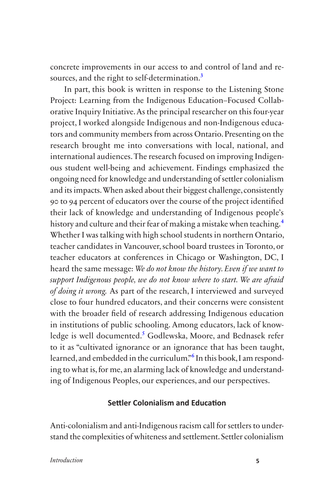concrete improvements in our access to and control of land and resources, and the right to self-determination.<sup>3</sup>

In part, this book is written in response to the Listening Stone Project: Learning from the Indigenous Education–Focused Collaborative Inquiry Initiative. As the principal researcher on this four-year project, I worked alongside Indigenous and non-Indigenous educators and community members from across Ontario. Presenting on the research brought me into conversations with local, national, and international audiences. The research focused on improving Indigenous student well-being and achievement. Findings emphasized the ongoing need for knowledge and understanding of settler colonialism and its impacts. When asked about their biggest challenge, consistently 90 to 94 percent of educators over the course of the project identifed their lack of knowledge and understanding of Indigenous people's history and culture and their fear of making a mistake when teaching.<sup>4</sup> Whether I was talking with high school students in northern Ontario, teacher candidates in Vancouver, school board trustees in Toronto, or teacher educators at conferences in Chicago or Washington, DC, I heard the same message: *We do not know the history. Even if we want to support Indigenous people, we do not know where to start. We are afraid of doing it wrong.* As part of the research, I interviewed and surveyed close to four hundred educators, and their concerns were consistent with the broader feld of research addressing Indigenous education in institutions of public schooling. Among educators, lack of knowledge is well documented.<sup>5</sup> Godlewska, Moore, and Bednasek refer to it as "cultivated ignorance or an ignorance that has been taught, learned, and embedded in the curriculum."<sup>6</sup> In this book, I am responding to what is, for me, an alarming lack of knowledge and understanding of Indigenous Peoples, our experiences, and our perspectives.

#### **Settler Colonialism and Education**

Anti-colonialism and anti-Indigenous racism call for settlers to understand the complexities of whiteness and settlement. Settler colonialism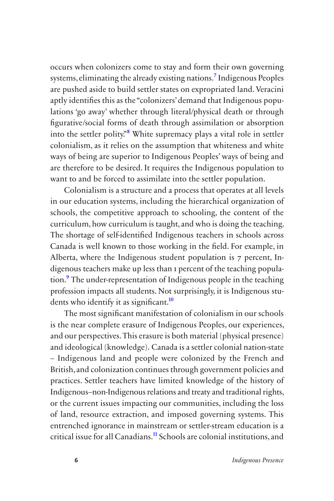occurs when colonizers come to stay and form their own governing systems, eliminating the already existing nations.7 Indigenous Peoples are pushed aside to build settler states on expropriated land. Veracini aptly identifes this as the "colonizers' demand that Indigenous populations 'go away' whether through literal/physical death or through fgurative/social forms of death through assimilation or absorption into the settler polity.<sup>88</sup> White supremacy plays a vital role in settler colonialism, as it relies on the assumption that whiteness and white ways of being are superior to Indigenous Peoples' ways of being and are therefore to be desired. It requires the Indigenous population to want to and be forced to assimilate into the settler population.

Colonialism is a structure and a process that operates at all levels in our education systems, including the hierarchical organization of schools, the competitive approach to schooling, the content of the curriculum, how curriculum is taught, and who is doing the teaching. The shortage of self-identifed Indigenous teachers in schools across Canada is well known to those working in the feld. For example, in Alberta, where the Indigenous student population is 7 percent, Indigenous teachers make up less than 1 percent of the teaching population.<sup>9</sup> The under-representation of Indigenous people in the teaching profession impacts all students. Not surprisingly, it is Indigenous students who identify it as significant.<sup>10</sup>

The most signifcant manifestation of colonialism in our schools is the near complete erasure of Indigenous Peoples, our experiences, and our perspectives. This erasure is both material (physical presence) and ideological (knowledge). Canada is a settler colonial nation-state – Indigenous land and people were colonized by the French and British, and colonization continues through government policies and practices. Settler teachers have limited knowledge of the history of Indigenous–non-Indigenous relations and treaty and traditional rights, or the current issues impacting our communities, including the loss of land, resource extraction, and imposed governing systems. This entrenched ignorance in mainstream or settler-stream education is a critical issue for all Canadians.11 Schools are colonial institutions, and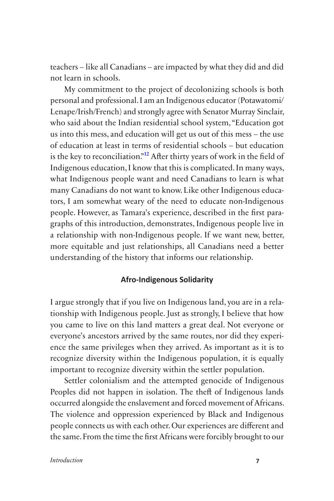teachers – like all Canadians – are impacted by what they did and did not learn in schools.

My commitment to the project of decolonizing schools is both personal and professional. I am an Indigenous educator (Potawatomi/ Lenape/Irish/French) and strongly agree with Senator Murray Sinclair, who said about the Indian residential school system, "Education got us into this mess, and education will get us out of this mess – the use of education at least in terms of residential schools – but education is the key to reconciliation."<sup>12</sup> After thirty years of work in the field of Indigenous education, I know that this is complicated. In many ways, what Indigenous people want and need Canadians to learn is what many Canadians do not want to know. Like other Indigenous educators, I am somewhat weary of the need to educate non-Indigenous people. However, as Tamara's experience, described in the frst paragraphs of this introduction, demonstrates, Indigenous people live in a relationship with non-Indigenous people. If we want new, better, more equitable and just relationships, all Canadians need a better understanding of the history that informs our relationship.

#### **Afro-Indigenous Solidarity**

I argue strongly that if you live on Indigenous land, you are in a relationship with Indigenous people. Just as strongly, I believe that how you came to live on this land matters a great deal. Not everyone or everyone's ancestors arrived by the same routes, nor did they experience the same privileges when they arrived. As important as it is to recognize diversity within the Indigenous population, it is equally important to recognize diversity within the settler population.

 occurred alongside the enslavement and forced movement of Africans. The violence and oppression experienced by Black and Indigenous Settler colonialism and the attempted genocide of Indigenous Peoples did not happen in isolation. The theft of Indigenous lands people connects us with each other. Our experiences are diferent and the same. From the time the frst Africans were forcibly brought to our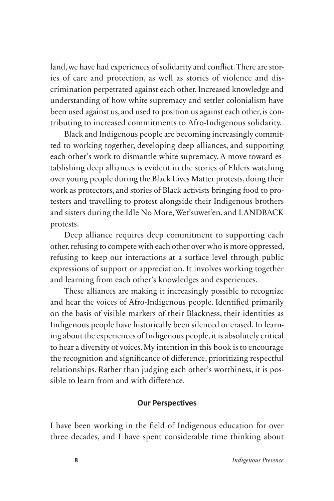land, we have had experiences of solidarity and confict. There are stories of care and protection, as well as stories of violence and discrimination perpetrated against each other. Increased knowledge and understanding of how white supremacy and settler colonialism have been used against us, and used to position us against each other, is contributing to increased commitments to Afro-Indigenous solidarity.

 over young people during the Black Lives Matter protests, doing their Black and Indigenous people are becoming increasingly committed to working together, developing deep alliances, and supporting each other's work to dismantle white supremacy. A move toward establishing deep alliances is evident in the stories of Elders watching work as protectors, and stories of Black activists bringing food to protesters and travelling to protest alongside their Indigenous brothers and sisters during the Idle No More, Wet'suwet'en, and LANDBACK protests.

Deep alliance requires deep commitment to supporting each other, refusing to compete with each other over who is more oppressed, refusing to keep our interactions at a surface level through public expressions of support or appreciation. It involves working together and learning from each other's knowledges and experiences.

These alliances are making it increasingly possible to recognize and hear the voices of Afro-Indigenous people. Identifed primarily on the basis of visible markers of their Blackness, their identities as Indigenous people have historically been silenced or erased. In learning about the experiences of Indigenous people, it is absolutely critical to hear a diversity of voices. My intention in this book is to encourage the recognition and signifcance of diference, prioritizing respectful relationships. Rather than judging each other's worthiness, it is possible to learn from and with diference.

#### **Our Perspectives**

I have been working in the feld of Indigenous education for over three decades, and I have spent considerable time thinking about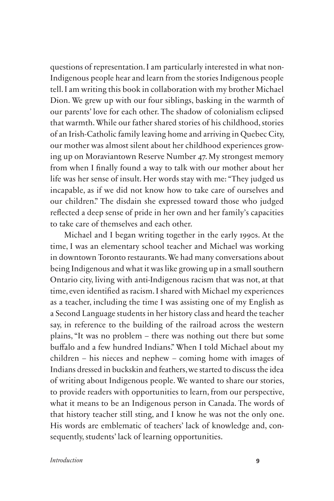questions of representation. I am particularly interested in what non-Indigenous people hear and learn from the stories Indigenous people tell. I am writing this book in collaboration with my brother Michael Dion. We grew up with our four siblings, basking in the warmth of our parents' love for each other. The shadow of colonialism eclipsed that warmth. While our father shared stories of his childhood, stories of an Irish-Catholic family leaving home and arriving in Quebec City, our mother was almost silent about her childhood experiences growing up on Moraviantown Reserve Number 47. My strongest memory from when I fnally found a way to talk with our mother about her life was her sense of insult. Her words stay with me: "They judged us incapable, as if we did not know how to take care of ourselves and our children." The disdain she expressed toward those who judged refected a deep sense of pride in her own and her family's capacities to take care of themselves and each other.

Michael and I began writing together in the early 1990s. At the time, I was an elementary school teacher and Michael was working in downtown Toronto restaurants. We had many conversations about being Indigenous and what it was like growing up in a small southern Ontario city, living with anti-Indigenous racism that was not, at that time, even identifed as racism. I shared with Michael my experiences as a teacher, including the time I was assisting one of my English as a Second Language students in her history class and heard the teacher say, in reference to the building of the railroad across the western plains, "It was no problem – there was nothing out there but some bufalo and a few hundred Indians." When I told Michael about my children – his nieces and nephew – coming home with images of Indians dressed in buckskin and feathers, we started to discuss the idea of writing about Indigenous people. We wanted to share our stories, to provide readers with opportunities to learn, from our perspective, what it means to be an Indigenous person in Canada. The words of that history teacher still sting, and I know he was not the only one. His words are emblematic of teachers' lack of knowledge and, consequently, students' lack of learning opportunities.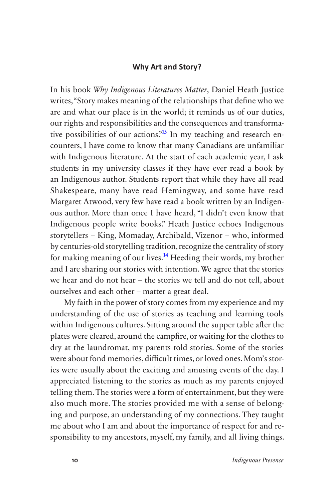#### **Why Art and Story?**

 with Indigenous literature. At the start of each academic year, I ask In his book *Why Indigenous Literatures Matter*, Daniel Heath Justice writes,"Story makes meaning of the relationships that defne who we are and what our place is in the world; it reminds us of our duties, our rights and responsibilities and the consequences and transformative possibilities of our actions."<sup>13</sup> In my teaching and research encounters, I have come to know that many Canadians are unfamiliar students in my university classes if they have ever read a book by an Indigenous author. Students report that while they have all read Shakespeare, many have read Hemingway, and some have read Margaret Atwood, very few have read a book written by an Indigenous author. More than once I have heard, "I didn't even know that Indigenous people write books." Heath Justice echoes Indigenous storytellers – King, Momaday, Archibald, Vizenor – who, informed by centuries-old storytelling tradition, recognize the centrality of story for making meaning of our lives.14 Heeding their words, my brother and I are sharing our stories with intention. We agree that the stories we hear and do not hear – the stories we tell and do not tell, about ourselves and each other – matter a great deal.

My faith in the power of story comes from my experience and my understanding of the use of stories as teaching and learning tools within Indigenous cultures. Sitting around the supper table afer the plates were cleared, around the campfre, or waiting for the clothes to dry at the laundromat, my parents told stories. Some of the stories were about fond memories, difficult times, or loved ones. Mom's stories were usually about the exciting and amusing events of the day. I appreciated listening to the stories as much as my parents enjoyed telling them. The stories were a form of entertainment, but they were also much more. The stories provided me with a sense of belonging and purpose, an understanding of my connections. They taught me about who I am and about the importance of respect for and responsibility to my ancestors, myself, my family, and all living things.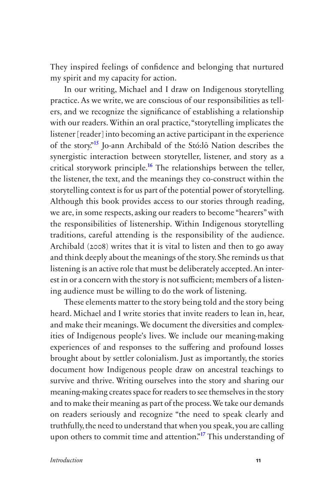They inspired feelings of confdence and belonging that nurtured my spirit and my capacity for action.

 we are, in some respects, asking our readers to become "hearers" with listening is an active role that must be deliberately accepted. An interest in or a concern with the story is not sufficient; members of a listen-In our writing, Michael and I draw on Indigenous storytelling practice. As we write, we are conscious of our responsibilities as tellers, and we recognize the signifcance of establishing a relationship with our readers. Within an oral practice, "storytelling implicates the listener [reader] into becoming an active participant in the experience of the story."15 Jo-ann Archibald of the Stó:lō Nation describes the synergistic interaction between storyteller, listener, and story as a critical storywork principle.<sup>16</sup> The relationships between the teller, the listener, the text, and the meanings they co-construct within the storytelling context is for us part of the potential power of storytelling. Although this book provides access to our stories through reading, the responsibilities of listenership. Within Indigenous storytelling traditions, careful attending is the responsibility of the audience. Archibald (2008) writes that it is vital to listen and then to go away and think deeply about the meanings of the story. She reminds us that ing audience must be willing to do the work of listening.

 document how Indigenous people draw on ancestral teachings to These elements matter to the story being told and the story being heard. Michael and I write stories that invite readers to lean in, hear, and make their meanings. We document the diversities and complexities of Indigenous people's lives. We include our meaning-making experiences of and responses to the sufering and profound losses brought about by settler colonialism. Just as importantly, the stories survive and thrive. Writing ourselves into the story and sharing our meaning-making creates space for readers to see themselves in the story and to make their meaning as part of the process. We take our demands on readers seriously and recognize "the need to speak clearly and truthfully, the need to understand that when you speak, you are calling upon others to commit time and attention."<sup>17</sup> This understanding of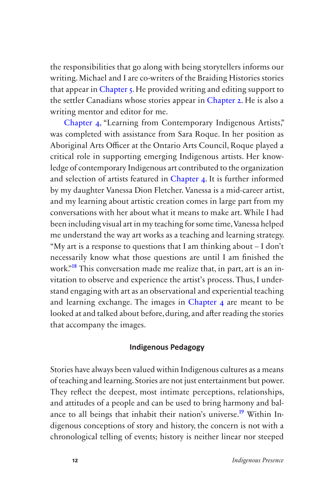the responsibilities that go along with being storytellers informs our writing. Michael and I are co-writers of the Braiding Histories stories that appear in Chapter 5. He provided writing and editing support to the settler Canadians whose stories appear in Chapter 2. He is also a writing mentor and editor for me.

Chapter 4, "Learning from Contemporary Indigenous Artists," was completed with assistance from Sara Roque. In her position as Aboriginal Arts Officer at the Ontario Arts Council, Roque played a critical role in supporting emerging Indigenous artists. Her knowledge of contemporary Indigenous art contributed to the organization and selection of artists featured in Chapter 4. It is further informed by my daughter Vanessa Dion Fletcher. Vanessa is a mid-career artist, and my learning about artistic creation comes in large part from my conversations with her about what it means to make art. While I had been including visual art in my teaching for some time, Vanessa helped me understand the way art works as a teaching and learning strategy. "My art is a response to questions that I am thinking about – I don't necessarily know what those questions are until I am fnished the work.<sup>"18</sup> This conversation made me realize that, in part, art is an invitation to observe and experience the artist's process. Thus, I understand engaging with art as an observational and experiential teaching and learning exchange. The images in Chapter 4 are meant to be looked at and talked about before, during, and afer reading the stories that accompany the images.

#### **Indigenous Pedagogy**

Stories have always been valued within Indigenous cultures as a means of teaching and learning. Stories are not just entertainment but power. They refect the deepest, most intimate perceptions, relationships, and attitudes of a people and can be used to bring harmony and balance to all beings that inhabit their nation's universe.<sup>19</sup> Within Indigenous conceptions of story and history, the concern is not with a chronological telling of events; history is neither linear nor steeped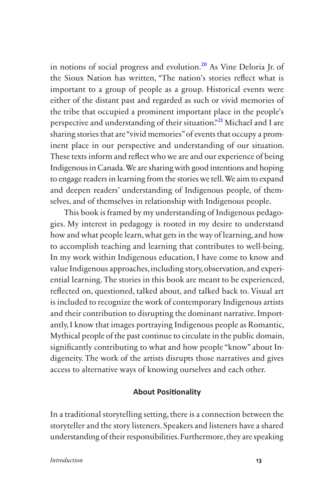in notions of social progress and evolution.<sup>20</sup> As Vine Deloria Jr. of the Sioux Nation has written, "The nation's stories refect what is important to a group of people as a group. Historical events were either of the distant past and regarded as such or vivid memories of the tribe that occupied a prominent important place in the people's perspective and understanding of their situation."21 Michael and I are sharing stories that are "vivid memories" of events that occupy a prominent place in our perspective and understanding of our situation. These texts inform and refect who we are and our experience of being Indigenous in Canada.We are sharing with good intentions and hoping to engage readers in learning from the stories we tell. We aim to expand and deepen readers' understanding of Indigenous people, of themselves, and of themselves in relationship with Indigenous people.

This book is framed by my understanding of Indigenous pedagogies. My interest in pedagogy is rooted in my desire to understand how and what people learn, what gets in the way of learning, and how to accomplish teaching and learning that contributes to well-being. In my work within Indigenous education, I have come to know and value Indigenous approaches, including story, observation, and experiential learning. The stories in this book are meant to be experienced, refected on, questioned, talked about, and talked back to. Visual art is included to recognize the work of contemporary Indigenous artists and their contribution to disrupting the dominant narrative. Importantly, I know that images portraying Indigenous people as Romantic, Mythical people of the past continue to circulate in the public domain, signifcantly contributing to what and how people "know" about Indigeneity. The work of the artists disrupts those narratives and gives access to alternative ways of knowing ourselves and each other.

#### **About Positionality**

In a traditional storytelling setting, there is a connection between the storyteller and the story listeners. Speakers and listeners have a shared understanding of their responsibilities. Furthermore, they are speaking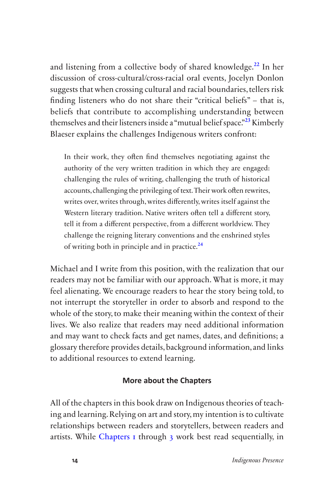themselves and their listeners inside a "mutual belief space."<sup>23</sup> Kimberly and listening from a collective body of shared knowledge.<sup>22</sup> In her discussion of cross-cultural/cross-racial oral events, Jocelyn Donlon suggests that when crossing cultural and racial boundaries, tellers risk fnding listeners who do not share their "critical beliefs" – that is, beliefs that contribute to accomplishing understanding between Blaeser explains the challenges Indigenous writers confront:

In their work, they ofen fnd themselves negotiating against the authority of the very written tradition in which they are engaged: challenging the rules of writing, challenging the truth of historical accounts, challenging the privileging of text. Their work ofen rewrites, writes over, writes through, writes diferently, writes itself against the Western literary tradition. Native writers often tell a different story, tell it from a diferent perspective, from a diferent worldview. They challenge the reigning literary conventions and the enshrined styles of writing both in principle and in practice.<sup>24</sup>

Michael and I write from this position, with the realization that our readers may not be familiar with our approach. What is more, it may feel alienating. We encourage readers to hear the story being told, to not interrupt the storyteller in order to absorb and respond to the whole of the story, to make their meaning within the context of their lives. We also realize that readers may need additional information and may want to check facts and get names, dates, and defnitions; a glossary therefore provides details, background information, and links to additional resources to extend learning.

#### **More about the Chapters**

All of the chapters in this book draw on Indigenous theories of teaching and learning. Relying on art and story, my intention is to cultivate relationships between readers and storytellers, between readers and artists. While [Chapters 1](#page-18-0) through 3 work best read sequentially, in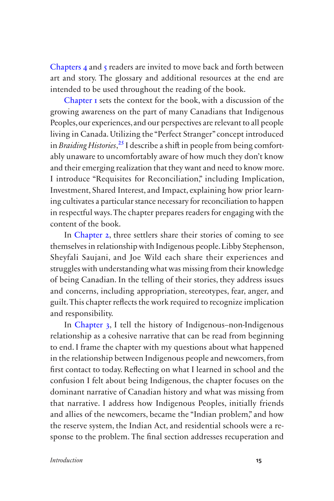Chapters 4 and 5 readers are invited to move back and forth between art and story. The glossary and additional resources at the end are intended to be used throughout the reading of the book.

[Chapter 1](#page-18-0) sets the context for the book, with a discussion of the growing awareness on the part of many Canadians that Indigenous Peoples, our experiences, and our perspectives are relevant to all people living in Canada. Utilizing the "Perfect Stranger" concept introduced in *Braiding Histories*<sup>25</sup> I describe a shift in people from being comfortably unaware to uncomfortably aware of how much they don't know and their emerging realization that they want and need to know more. I introduce "Requisites for Reconciliation," including Implication, Investment, Shared Interest, and Impact, explaining how prior learning cultivates a particular stance necessary for reconciliation to happen in respectful ways. The chapter prepares readers for engaging with the content of the book.

In Chapter 2, three settlers share their stories of coming to see themselves in relationship with Indigenous people. Libby Stephenson, Sheyfali Saujani, and Joe Wild each share their experiences and struggles with understanding what was missing from their knowledge of being Canadian. In the telling of their stories, they address issues and concerns, including appropriation, stereotypes, fear, anger, and guilt. This chapter refects the work required to recognize implication and responsibility.

In Chapter 3, I tell the history of Indigenous–non-Indigenous relationship as a cohesive narrative that can be read from beginning to end. I frame the chapter with my questions about what happened in the relationship between Indigenous people and newcomers, from frst contact to today. Refecting on what I learned in school and the confusion I felt about being Indigenous, the chapter focuses on the dominant narrative of Canadian history and what was missing from that narrative. I address how Indigenous Peoples, initially friends and allies of the newcomers, became the "Indian problem," and how the reserve system, the Indian Act, and residential schools were a response to the problem. The fnal section addresses recuperation and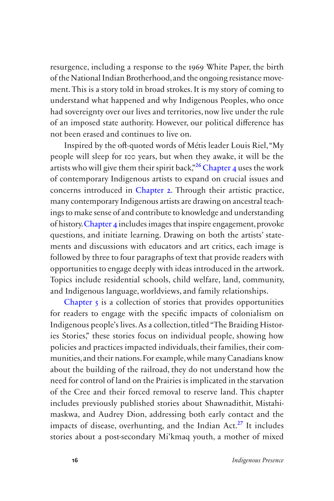resurgence, including a response to the 1969 White Paper, the birth of an imposed state authority. However, our political diference has of the National Indian Brotherhood, and the ongoing resistance movement. This is a story told in broad strokes. It is my story of coming to understand what happened and why Indigenous Peoples, who once had sovereignty over our lives and territories, now live under the rule not been erased and continues to live on.

 Inspired by the of-quoted words of Métis leader Louis Riel,"My ings to make sense of and contribute to knowledge and understanding Topics include residential schools, child welfare, land, community, people will sleep for 100 years, but when they awake, it will be the artists who will give them their spirit back,<sup>326</sup> Chapter 4 uses the work of contemporary Indigenous artists to expand on crucial issues and concerns introduced in Chapter 2. Through their artistic practice, many contemporary Indigenous artists are drawing on ancestral teachof history.Chapter 4 includes images that inspire engagement, provoke questions, and initiate learning. Drawing on both the artists' statements and discussions with educators and art critics, each image is followed by three to four paragraphs of text that provide readers with opportunities to engage deeply with ideas introduced in the artwork. and Indigenous language, worldviews, and family relationships.

 maskwa, and Audrey Dion, addressing both early contact and the Chapter 5 is a collection of stories that provides opportunities for readers to engage with the specifc impacts of colonialism on Indigenous people's lives. As a collection, titled "The Braiding Histories Stories," these stories focus on individual people, showing how policies and practices impacted individuals, their families, their communities, and their nations. For example, while many Canadians know about the building of the railroad, they do not understand how the need for control of land on the Prairies is implicated in the starvation of the Cree and their forced removal to reserve land. This chapter includes previously published stories about Shawnadithit, Mistahiimpacts of disease, overhunting, and the Indian Act.<sup>27</sup> It includes stories about a post-secondary Mi'kmaq youth, a mother of mixed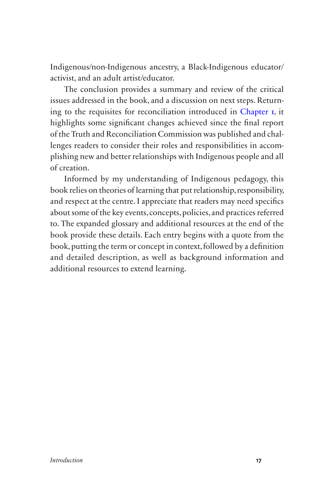Indigenous/non-Indigenous ancestry, a Black-Indigenous educator/ activist, and an adult artist/educator.

The conclusion provides a summary and review of the critical issues addressed in the book, and a discussion on next steps. Returning to the requisites for reconciliation introduced in [Chapter 1](#page-18-0), it highlights some signifcant changes achieved since the fnal report of the Truth and Reconciliation Commission was published and challenges readers to consider their roles and responsibilities in accomplishing new and better relationships with Indigenous people and all of creation.

Informed by my understanding of Indigenous pedagogy, this book relies on theories of learning that put relationship, responsibility, and respect at the centre. I appreciate that readers may need specifcs about some of the key events, concepts, policies, and practices referred to. The expanded glossary and additional resources at the end of the book provide these details. Each entry begins with a quote from the book, putting the term or concept in context, followed by a defnition and detailed description, as well as background information and additional resources to extend learning.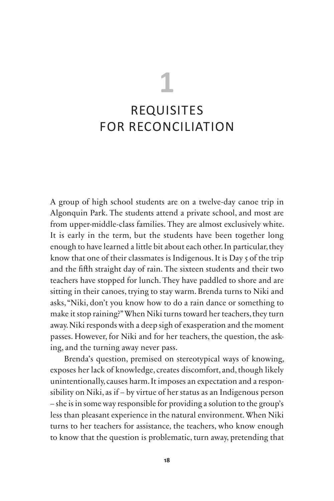# **1**

# <span id="page-18-0"></span>REQUISITES [FOR RECONCILIATION](#page-1-0)

A group of high school students are on a twelve-day canoe trip in Algonquin Park. The students attend a private school, and most are from upper-middle-class families. They are almost exclusively white. It is early in the term, but the students have been together long enough to have learned a little bit about each other. In particular, they know that one of their classmates is Indigenous. It is Day 5 of the trip and the fifth straight day of rain. The sixteen students and their two teachers have stopped for lunch. They have paddled to shore and are sitting in their canoes, trying to stay warm. Brenda turns to Niki and asks,"Niki, don't you know how to do a rain dance or something to make it stop raining?" When Niki turns toward her teachers, they turn away. Niki responds with a deep sigh of exasperation and the moment passes. However, for Niki and for her teachers, the question, the asking, and the turning away never pass.

 less than pleasant experience in the natural environment. When Niki Brenda's question, premised on stereotypical ways of knowing, exposes her lack of knowledge, creates discomfort, and, though likely unintentionally, causes harm. It imposes an expectation and a responsibility on Niki, as if – by virtue of her status as an Indigenous person – she is in some way responsible for providing a solution to the group's turns to her teachers for assistance, the teachers, who know enough to know that the question is problematic, turn away, pretending that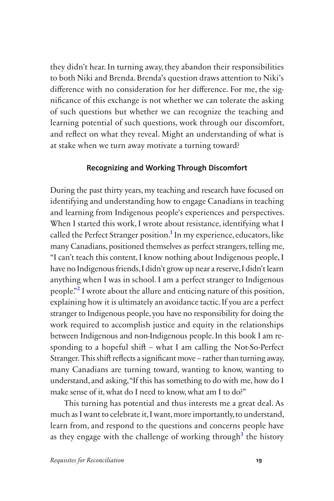they didn't hear. In turning away, they abandon their responsibilities to both Niki and Brenda. Brenda's question draws attention to Niki's diference with no consideration for her diference. For me, the signifcance of this exchange is not whether we can tolerate the asking of such questions but whether we can recognize the teaching and learning potential of such questions, work through our discomfort, and refect on what they reveal. Might an understanding of what is at stake when we turn away motivate a turning toward?

#### **Recognizing and Working Through Discomfort**

 "I can't teach this content, I know nothing about Indigenous people, I During the past thirty years, my teaching and research have focused on identifying and understanding how to engage Canadians in teaching and learning from Indigenous people's experiences and perspectives. When I started this work, I wrote about resistance, identifying what I called the Perfect Stranger position.<sup>1</sup> In my experience, educators, like many Canadians, positioned themselves as perfect strangers, telling me, have no Indigenous friends, I didn't grow up near a reserve, I didn't learn anything when I was in school. I am a perfect stranger to Indigenous people."2 I wrote about the allure and enticing nature of this position, explaining how it is ultimately an avoidance tactic. If you are a perfect stranger to Indigenous people, you have no responsibility for doing the work required to accomplish justice and equity in the relationships between Indigenous and non-Indigenous people. In this book I am responding to a hopeful shif – what I am calling the Not-So-Perfect Stranger*.*This shif refects a signifcant move – rather than turning away, many Canadians are turning toward, wanting to know, wanting to understand, and asking,"If this has something to do with me, how do I make sense of it, what do I need to know, what am I to do?"

This turning has potential and thus interests me a great deal. As much as I want to celebrate it, I want, more importantly, to understand, learn from, and respond to the questions and concerns people have as they engage with the challenge of working through<sup>3</sup> the history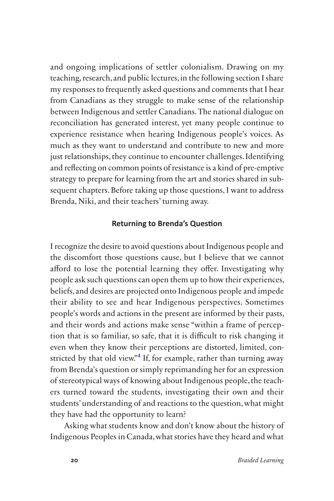just relationships, they continue to encounter challenges. Identifying and ongoing implications of settler colonialism. Drawing on my teaching, research, and public lectures, in the following section I share my responses to frequently asked questions and comments that I hear from Canadians as they struggle to make sense of the relationship between Indigenous and settler Canadians. The national dialogue on reconciliation has generated interest, yet many people continue to experience resistance when hearing Indigenous people's voices. As much as they want to understand and contribute to new and more and refecting on common points of resistance is a kind of pre-emptive strategy to prepare for learning from the art and stories shared in subsequent chapters. Before taking up those questions, I want to address Brenda, Niki, and their teachers' turning away.

#### **Returning to Brenda's Question**

I recognize the desire to avoid questions about Indigenous people and the discomfort those questions cause, but I believe that we cannot afford to lose the potential learning they offer. Investigating why people ask such questions can open them up to how their experiences, beliefs, and desires are projected onto Indigenous people and impede their ability to see and hear Indigenous perspectives. Sometimes people's words and actions in the present are informed by their pasts, and their words and actions make sense "within a frame of perception that is so familiar, so safe, that it is difficult to risk changing it even when they know their perceptions are distorted, limited, constricted by that old view.<sup>34</sup> If, for example, rather than turning away from Brenda's question or simply reprimanding her for an expression of stereotypical ways of knowing about Indigenous people, the teachers turned toward the students, investigating their own and their students' understanding of and reactions to the question, what might they have had the opportunity to learn?

Asking what students know and don't know about the history of Indigenous Peoples in Canada, what stories have they heard and what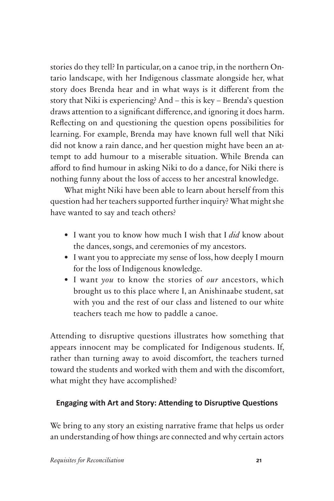story does Brenda hear and in what ways is it diferent from the stories do they tell? In particular, on a canoe trip, in the northern Ontario landscape, with her Indigenous classmate alongside her, what story that Niki is experiencing? And – this is key – Brenda's question draws attention to a signifcant diference, and ignoring it does harm. Refecting on and questioning the question opens possibilities for learning. For example, Brenda may have known full well that Niki did not know a rain dance, and her question might have been an attempt to add humour to a miserable situation. While Brenda can aford to fnd humour in asking Niki to do a dance, for Niki there is nothing funny about the loss of access to her ancestral knowledge.

What might Niki have been able to learn about herself from this question had her teachers supported further inquiry? What might she have wanted to say and teach others?

- I want you to know how much I wish that I *did* know about the dances, songs, and ceremonies of my ancestors.
- I want you to appreciate my sense of loss, how deeply I mourn for the loss of Indigenous knowledge.
- I want *you* to know the stories of *our* ancestors, which brought us to this place where I, an Anishinaabe student, sat with you and the rest of our class and listened to our white teachers teach me how to paddle a canoe.

Attending to disruptive questions illustrates how something that appears innocent may be complicated for Indigenous students. If, rather than turning away to avoid discomfort, the teachers turned toward the students and worked with them and with the discomfort, what might they have accomplished?

# **Engaging with Art and Story: Attending to Disruptive Questions**

We bring to any story an existing narrative frame that helps us order an understanding of how things are connected and why certain actors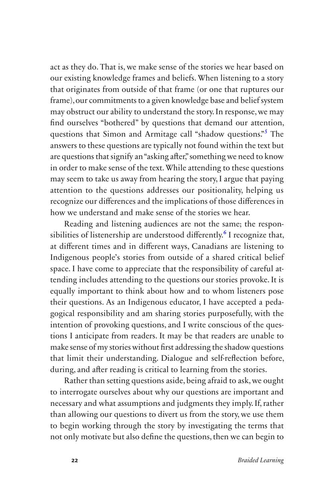attention to the questions addresses our positionality, helping us act as they do. That is, we make sense of the stories we hear based on our existing knowledge frames and beliefs. When listening to a story that originates from outside of that frame (or one that ruptures our frame), our commitments to a given knowledge base and belief system may obstruct our ability to understand the story. In response, we may fnd ourselves "bothered" by questions that demand our attention, questions that Simon and Armitage call "shadow questions."<sup>5</sup> The answers to these questions are typically not found within the text but are questions that signify an "asking afer," something we need to know in order to make sense of the text. While attending to these questions may seem to take us away from hearing the story, I argue that paying recognize our diferences and the implications of those diferences in how we understand and make sense of the stories we hear.

Reading and listening audiences are not the same; the responsibilities of listenership are understood differently.<sup>6</sup> I recognize that, at diferent times and in diferent ways, Canadians are listening to Indigenous people's stories from outside of a shared critical belief space. I have come to appreciate that the responsibility of careful attending includes attending to the questions our stories provoke. It is equally important to think about how and to whom listeners pose their questions. As an Indigenous educator, I have accepted a pedagogical responsibility and am sharing stories purposefully, with the intention of provoking questions, and I write conscious of the questions I anticipate from readers. It may be that readers are unable to make sense of my stories without frst addressing the shadow questions that limit their understanding. Dialogue and self-refection before, during, and afer reading is critical to learning from the stories.

Rather than setting questions aside, being afraid to ask, we ought to interrogate ourselves about why our questions are important and necessary and what assumptions and judgments they imply. If, rather than allowing our questions to divert us from the story, we use them to begin working through the story by investigating the terms that not only motivate but also defne the questions, then we can begin to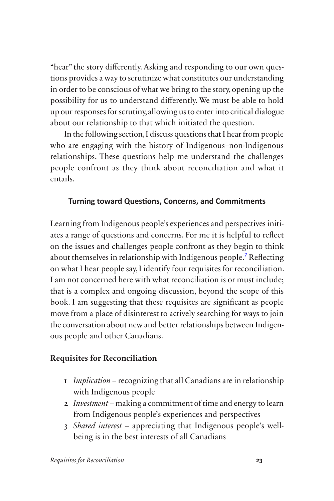"hear" the story diferently. Asking and responding to our own questions provides a way to scrutinize what constitutes our understanding in order to be conscious of what we bring to the story, opening up the possibility for us to understand diferently. We must be able to hold up our responses for scrutiny, allowing us to enter into critical dialogue about our relationship to that which initiated the question.

In the following section,I discuss questions that I hear from people who are engaging with the history of Indigenous–non-Indigenous relationships. These questions help me understand the challenges people confront as they think about reconciliation and what it entails.

## **Turning toward Questions, Concerns, and Commitments**

Learning from Indigenous people's experiences and perspectives initiates a range of questions and concerns. For me it is helpful to refect on the issues and challenges people confront as they begin to think about themselves in relationship with Indigenous people.7 Refecting on what I hear people say, I identify four requisites for reconciliation. I am not concerned here with what reconciliation is or must include; that is a complex and ongoing discussion, beyond the scope of this book. I am suggesting that these requisites are signifcant as people move from a place of disinterest to actively searching for ways to join the conversation about new and better relationships between Indigenous people and other Canadians.

# **Requisites for Reconciliation**

- 1 *Implication*  recognizing that all Canadians are in relationship with Indigenous people
- 2 *Investment*  making a commitment of time and energy to learn from Indigenous people's experiences and perspectives
- 3 *Shared interest*  appreciating that Indigenous people's wellbeing is in the best interests of all Canadians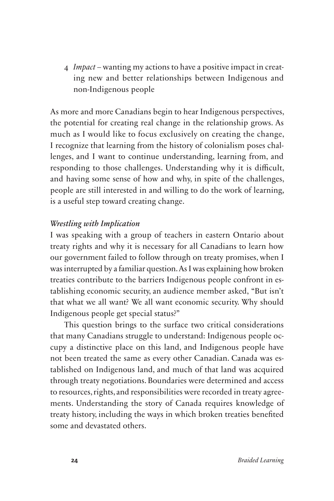ing new and better relationships between Indigenous and 4 *Impact* – wanting my actions to have a positive impact in creatnon-Indigenous people

 lenges, and I want to continue understanding, learning from, and As more and more Canadians begin to hear Indigenous perspectives, the potential for creating real change in the relationship grows. As much as I would like to focus exclusively on creating the change, I recognize that learning from the history of colonialism poses chalresponding to those challenges. Understanding why it is difficult, and having some sense of how and why, in spite of the challenges, people are still interested in and willing to do the work of learning, is a useful step toward creating change.

#### *Wrestling with Implication*

 our government failed to follow through on treaty promises, when I I was speaking with a group of teachers in eastern Ontario about treaty rights and why it is necessary for all Canadians to learn how was interrupted by a familiar question. As I was explaining how broken treaties contribute to the barriers Indigenous people confront in establishing economic security, an audience member asked, "But isn't that what we all want? We all want economic security. Why should Indigenous people get special status?"

This question brings to the surface two critical considerations that many Canadians struggle to understand: Indigenous people occupy a distinctive place on this land, and Indigenous people have not been treated the same as every other Canadian. Canada was established on Indigenous land, and much of that land was acquired through treaty negotiations. Boundaries were determined and access to resources, rights, and responsibilities were recorded in treaty agreements. Understanding the story of Canada requires knowledge of treaty history, including the ways in which broken treaties benefted some and devastated others.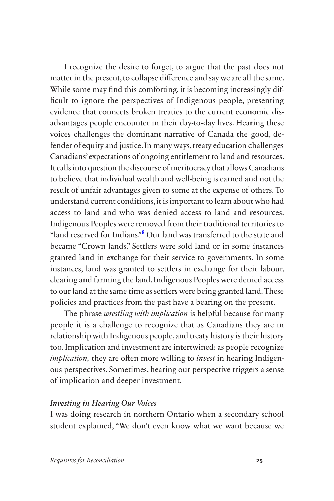access to land and who was denied access to land and resources. I recognize the desire to forget, to argue that the past does not matter in the present, to collapse diference and say we are all the same. While some may fnd this comforting, it is becoming increasingly diffcult to ignore the perspectives of Indigenous people, presenting evidence that connects broken treaties to the current economic disadvantages people encounter in their day-to-day lives. Hearing these voices challenges the dominant narrative of Canada the good, defender of equity and justice. In many ways, treaty education challenges Canadians' expectations of ongoing entitlement to land and resources. It calls into question the discourse of meritocracy that allows Canadians to believe that individual wealth and well-being is earned and not the result of unfair advantages given to some at the expense of others. To understand current conditions, it is important to learn about who had Indigenous Peoples were removed from their traditional territories to "land reserved for Indians."8 Our land was transferred to the state and became "Crown lands." Settlers were sold land or in some instances granted land in exchange for their service to governments. In some instances, land was granted to settlers in exchange for their labour, clearing and farming the land. Indigenous Peoples were denied access to our land at the same time as settlers were being granted land. These policies and practices from the past have a bearing on the present.

The phrase *wrestling with implication* is helpful because for many people it is a challenge to recognize that as Canadians they are in relationship with Indigenous people, and treaty history is their history too. Implication and investment are intertwined: as people recognize *implication*, they are often more willing to *invest* in hearing Indigenous perspectives. Sometimes, hearing our perspective triggers a sense of implication and deeper investment.

#### *Investing in Hearing Our Voices*

I was doing research in northern Ontario when a secondary school student explained, "We don't even know what we want because we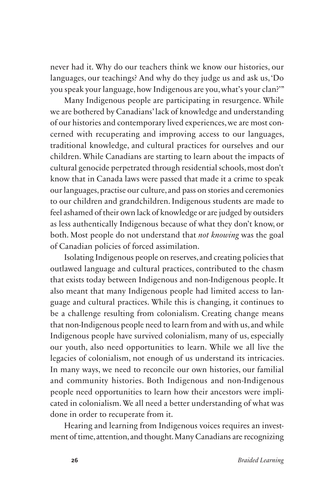languages, our teachings? And why do they judge us and ask us, 'Do never had it. Why do our teachers think we know our histories, our you speak your language, how Indigenous are you, what's your clan?'"

Many Indigenous people are participating in resurgence. While we are bothered by Canadians' lack of knowledge and understanding of our histories and contemporary lived experiences, we are most concerned with recuperating and improving access to our languages, traditional knowledge, and cultural practices for ourselves and our children. While Canadians are starting to learn about the impacts of cultural genocide perpetrated through residential schools, most don't know that in Canada laws were passed that made it a crime to speak our languages, practise our culture, and pass on stories and ceremonies to our children and grandchildren. Indigenous students are made to feel ashamed of their own lack of knowledge or are judged by outsiders as less authentically Indigenous because of what they don't know, or both. Most people do not understand that *not knowing* was the goal of Canadian policies of forced assimilation.

Isolating Indigenous people on reserves, and creating policies that outlawed language and cultural practices, contributed to the chasm that exists today between Indigenous and non-Indigenous people. It also meant that many Indigenous people had limited access to language and cultural practices. While this is changing, it continues to be a challenge resulting from colonialism. Creating change means that non-Indigenous people need to learn from and with us, and while Indigenous people have survived colonialism, many of us, especially our youth, also need opportunities to learn. While we all live the legacies of colonialism, not enough of us understand its intricacies. In many ways, we need to reconcile our own histories, our familial and community histories. Both Indigenous and non-Indigenous people need opportunities to learn how their ancestors were implicated in colonialism. We all need a better understanding of what was done in order to recuperate from it.

Hearing and learning from Indigenous voices requires an investment of time, attention, and thought. Many Canadians are recognizing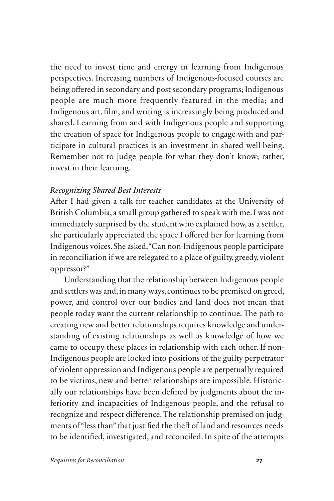the need to invest time and energy in learning from Indigenous perspectives. Increasing numbers of Indigenous-focused courses are being offered in secondary and post-secondary programs; Indigenous people are much more frequently featured in the media; and Indigenous art, flm, and writing is increasingly being produced and shared. Learning from and with Indigenous people and supporting the creation of space for Indigenous people to engage with and participate in cultural practices is an investment in shared well-being. Remember not to judge people for what they don't know; rather, invest in their learning.

## *Recognizing Shared Best Interests*

 immediately surprised by the student who explained how, as a settler, Indigenous voices.She asked,"Can non-Indigenous people participate Afer I had given a talk for teacher candidates at the University of British Columbia, a small group gathered to speak with me. I was not she particularly appreciated the space I offered her for learning from in reconciliation if we are relegated to a place of guilty, greedy, violent oppressor?"

Understanding that the relationship between Indigenous people and settlers was and, in many ways, continues to be premised on greed, power, and control over our bodies and land does not mean that people today want the current relationship to continue. The path to creating new and better relationships requires knowledge and understanding of existing relationships as well as knowledge of how we came to occupy these places in relationship with each other. If non-Indigenous people are locked into positions of the guilty perpetrator of violent oppression and Indigenous people are perpetually required to be victims, new and better relationships are impossible. Historically our relationships have been defned by judgments about the inferiority and incapacities of Indigenous people, and the refusal to recognize and respect diference. The relationship premised on judgments of "less than" that justifed the thef of land and resources needs to be identifed, investigated, and reconciled. In spite of the attempts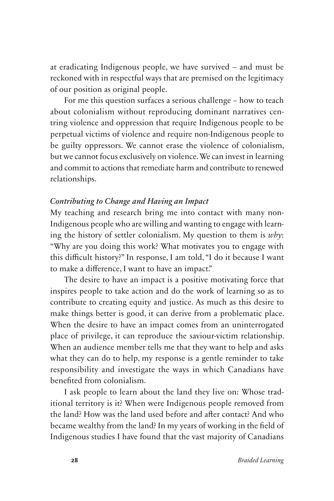at eradicating Indigenous people, we have survived – and must be reckoned with in respectful ways that are premised on the legitimacy of our position as original people.

For me this question surfaces a serious challenge – how to teach about colonialism without reproducing dominant narratives centring violence and oppression that require Indigenous people to be perpetual victims of violence and require non-Indigenous people to be guilty oppressors. We cannot erase the violence of colonialism, but we cannot focus exclusively on violence. We can invest in learning and commit to actions that remediate harm and contribute to renewed relationships.

## *Contributing to Change and Having an Impact*

My teaching and research bring me into contact with many non-Indigenous people who are willing and wanting to engage with learning the history of settler colonialism. My question to them is *why*: "Why are you doing this work? What motivates you to engage with this difficult history?" In response, I am told, "I do it because I want to make a diference, I want to have an impact."

The desire to have an impact is a positive motivating force that inspires people to take action and do the work of learning so as to contribute to creating equity and justice. As much as this desire to make things better is good, it can derive from a problematic place. When the desire to have an impact comes from an uninterrogated place of privilege, it can reproduce the saviour-victim relationship. When an audience member tells me that they want to help and asks what they can do to help, my response is a gentle reminder to take responsibility and investigate the ways in which Canadians have benefted from colonialism.

 the land? How was the land used before and afer contact? And who I ask people to learn about the land they live on: Whose traditional territory is it? When were Indigenous people removed from became wealthy from the land? In my years of working in the feld of Indigenous studies I have found that the vast majority of Canadians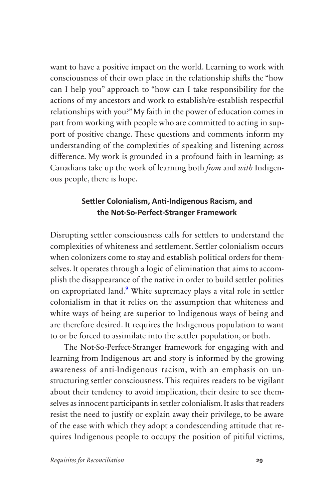want to have a positive impact on the world. Learning to work with consciousness of their own place in the relationship shifs the "how can I help you" approach to "how can I take responsibility for the actions of my ancestors and work to establish/re-establish respectful relationships with you?" My faith in the power of education comes in part from working with people who are committed to acting in support of positive change. These questions and comments inform my understanding of the complexities of speaking and listening across diference. My work is grounded in a profound faith in learning: as Canadians take up the work of learning both *from* and *with* Indigenous people, there is hope.

### **Settler Colonialism, Anti-Indigenous Racism, and the Not-So-Perfect-Stranger Framework**

Disrupting settler consciousness calls for settlers to understand the complexities of whiteness and settlement. Settler colonialism occurs when colonizers come to stay and establish political orders for themselves. It operates through a logic of elimination that aims to accomplish the disappearance of the native in order to build settler polities on expropriated land.<sup>9</sup> White supremacy plays a vital role in settler colonialism in that it relies on the assumption that whiteness and white ways of being are superior to Indigenous ways of being and are therefore desired. It requires the Indigenous population to want to or be forced to assimilate into the settler population, or both.

The Not-So-Perfect-Stranger framework for engaging with and learning from Indigenous art and story is informed by the growing awareness of anti-Indigenous racism, with an emphasis on unstructuring settler consciousness. This requires readers to be vigilant about their tendency to avoid implication, their desire to see themselves as innocent participants in settler colonialism. It asks that readers resist the need to justify or explain away their privilege, to be aware of the ease with which they adopt a condescending attitude that requires Indigenous people to occupy the position of pitiful victims,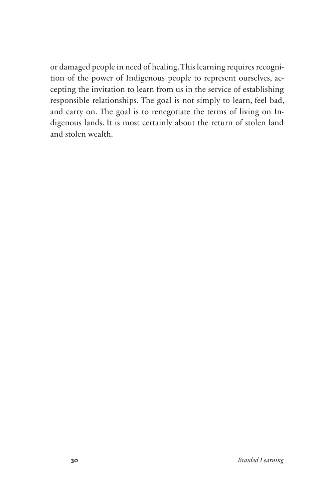or damaged people in need of healing. This learning requires recognition of the power of Indigenous people to represent ourselves, accepting the invitation to learn from us in the service of establishing responsible relationships. The goal is not simply to learn, feel bad, and carry on. The goal is to renegotiate the terms of living on Indigenous lands. It is most certainly about the return of stolen land and stolen wealth.